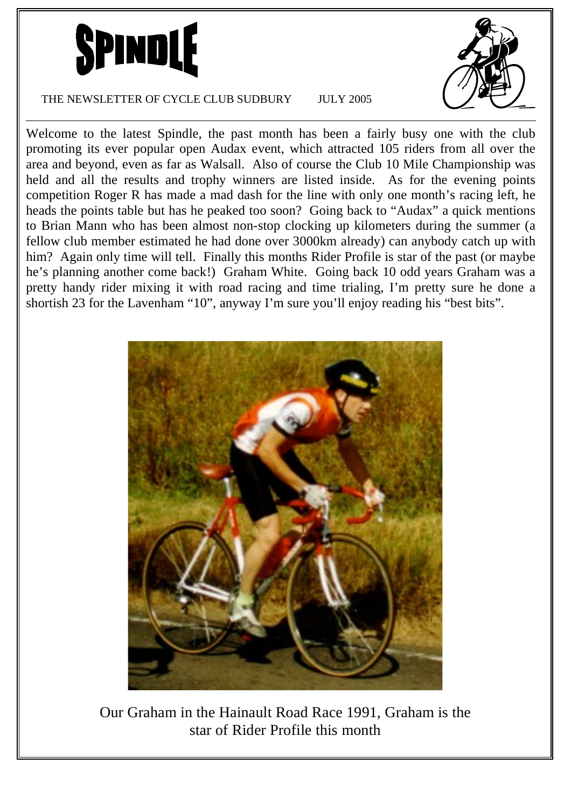

#### THE NEWSLETTER OF CYCLE CLUB SUDBURY JULY 2005

Welcome to the latest Spindle, the past month has been a fairly busy one with the club promoting its ever popular open Audax event, which attracted 105 riders from all over the area and beyond, even as far as Walsall. Also of course the Club 10 Mile Championship was held and all the results and trophy winners are listed inside. As for the evening points competition Roger R has made a mad dash for the line with only one month's racing left, he heads the points table but has he peaked too soon? Going back to "Audax" a quick mentions to Brian Mann who has been almost non-stop clocking up kilometers during the summer (a fellow club member estimated he had done over 3000km already) can anybody catch up with him? Again only time will tell. Finally this months Rider Profile is star of the past (or maybe he's planning another come back!) Graham White. Going back 10 odd years Graham was a pretty handy rider mixing it with road racing and time trialing, I'm pretty sure he done a shortish 23 for the Lavenham "10", anyway I'm sure you'll enjoy reading his "best bits".



Our Graham in the Hainault Road Race 1991, Graham is the star of Rider Profile this month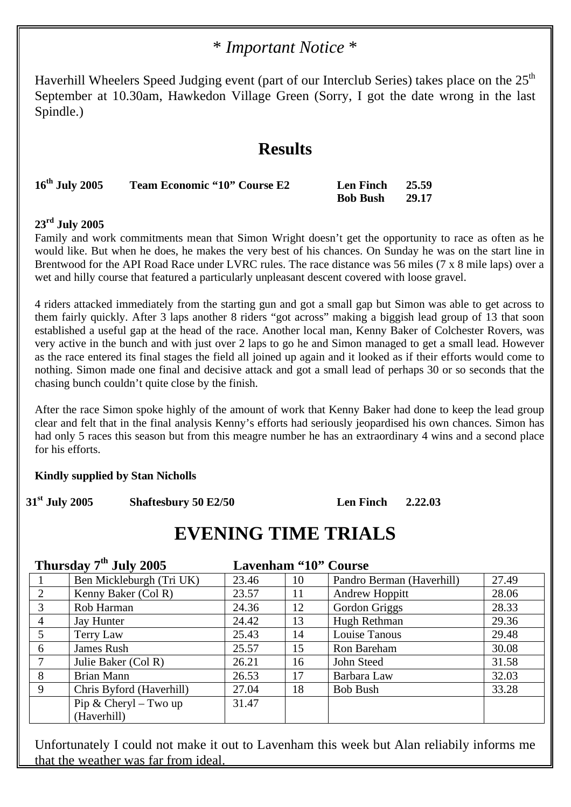## \* *Important Notice* \*

Haverhill Wheelers Speed Judging event (part of our Interclub Series) takes place on the 25<sup>th</sup> September at 10.30am, Hawkedon Village Green (Sorry, I got the date wrong in the last Spindle.)

# **Results**

| $16th$ July 2005 | <b>Team Economic "10" Course E2</b> | Len Finch $25.59$ |       |
|------------------|-------------------------------------|-------------------|-------|
|                  |                                     | <b>Bob Bush</b>   | 29.17 |

#### **23rd July 2005**

Family and work commitments mean that Simon Wright doesn't get the opportunity to race as often as he would like. But when he does, he makes the very best of his chances. On Sunday he was on the start line in Brentwood for the API Road Race under LVRC rules. The race distance was 56 miles (7 x 8 mile laps) over a wet and hilly course that featured a particularly unpleasant descent covered with loose gravel.

4 riders attacked immediately from the starting gun and got a small gap but Simon was able to get across to them fairly quickly. After 3 laps another 8 riders "got across" making a biggish lead group of 13 that soon established a useful gap at the head of the race. Another local man, Kenny Baker of Colchester Rovers, was very active in the bunch and with just over 2 laps to go he and Simon managed to get a small lead. However as the race entered its final stages the field all joined up again and it looked as if their efforts would come to nothing. Simon made one final and decisive attack and got a small lead of perhaps 30 or so seconds that the chasing bunch couldn't quite close by the finish.

After the race Simon spoke highly of the amount of work that Kenny Baker had done to keep the lead group clear and felt that in the final analysis Kenny's efforts had seriously jeopardised his own chances. Simon has had only 5 races this season but from this meagre number he has an extraordinary 4 wins and a second place for his efforts.

#### **Kindly supplied by Stan Nicholls**

#### **31st July 2005 Shaftesbury 50 E2/50 Len Finch 2.22.03**

|                             | Thursday 7 <sup>th</sup> July 2005 |       | <b>Lavenham "10" Course</b> |                           |       |  |
|-----------------------------|------------------------------------|-------|-----------------------------|---------------------------|-------|--|
|                             | Ben Mickleburgh (Tri UK)           | 23.46 | 10                          | Pandro Berman (Haverhill) | 27.49 |  |
| $\mathcal{D}_{\mathcal{L}}$ | Kenny Baker (Col R)                | 23.57 | 11                          | Andrew Hoppitt            | 28.06 |  |
| 3                           | Rob Harman                         | 24.36 | 12                          | Gordon Griggs             | 28.33 |  |
| 4                           | Jay Hunter                         | 24.42 | 13                          | Hugh Rethman              | 29.36 |  |
|                             | Terry Law                          | 25.43 | 14                          | Louise Tanous             | 29.48 |  |
| 6                           | James Rush                         | 25.57 | 15                          | Ron Bareham               | 30.08 |  |
|                             | Julie Baker (Col R)                | 26.21 | 16                          | John Steed                | 31.58 |  |
| 8                           | Brian Mann                         | 26.53 | 17                          | Barbara Law               | 32.03 |  |
| 9                           | Chris Byford (Haverhill)           | 27.04 | 18                          | <b>Bob Bush</b>           | 33.28 |  |
|                             | $Pip \& Cheryl - Two up$           | 31.47 |                             |                           |       |  |
|                             | (Haverhill)                        |       |                             |                           |       |  |

# **EVENING TIME TRIALS**

Unfortunately I could not make it out to Lavenham this week but Alan reliabily informs me that the weather was far from ideal.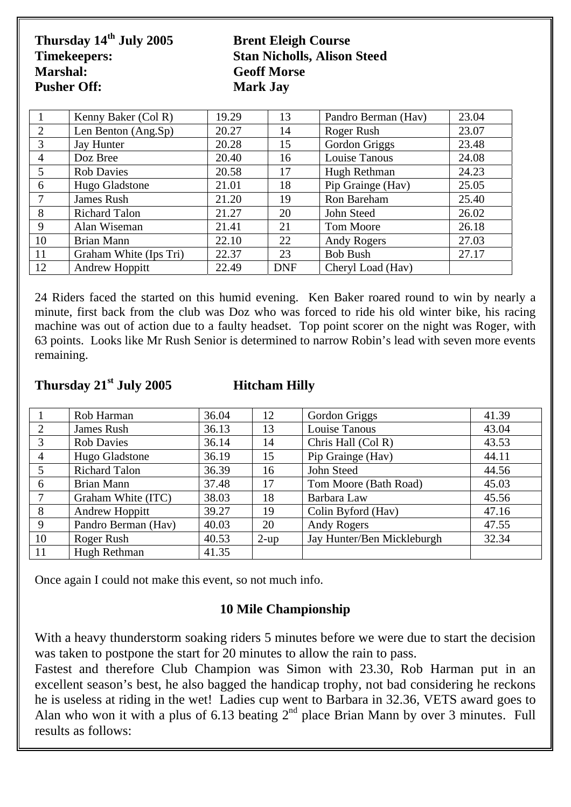| Thursday 14 <sup>th</sup> July 2005<br><b>Timekeepers:</b> | <b>Brent Eleigh Course</b><br><b>Stan Nicholls, Alison Steed</b> |
|------------------------------------------------------------|------------------------------------------------------------------|
| <b>Marshal:</b>                                            | <b>Geoff Morse</b>                                               |
| <b>Pusher Off:</b>                                         | <b>Mark Jay</b>                                                  |
|                                                            |                                                                  |

|                | Kenny Baker (Col R)    | 19.29 | 13         | Pandro Berman (Hav) | 23.04 |
|----------------|------------------------|-------|------------|---------------------|-------|
| 2              | Len Benton (Ang.Sp)    | 20.27 | 14         | Roger Rush          | 23.07 |
| 3              | Jay Hunter             | 20.28 | 15         | Gordon Griggs       | 23.48 |
| $\overline{4}$ | Doz Bree               | 20.40 | 16         | Louise Tanous       | 24.08 |
| 5              | <b>Rob Davies</b>      | 20.58 | 17         | Hugh Rethman        | 24.23 |
| 6              | Hugo Gladstone         | 21.01 | 18         | Pip Grainge (Hav)   | 25.05 |
| 7              | James Rush             | 21.20 | 19         | Ron Bareham         | 25.40 |
| 8              | <b>Richard Talon</b>   | 21.27 | 20         | John Steed          | 26.02 |
| 9              | Alan Wiseman           | 21.41 | 21         | Tom Moore           | 26.18 |
| 10             | Brian Mann             | 22.10 | 22         | Andy Rogers         | 27.03 |
| 11             | Graham White (Ips Tri) | 22.37 | 23         | <b>Bob Bush</b>     | 27.17 |
| 12             | <b>Andrew Hoppitt</b>  | 22.49 | <b>DNF</b> | Cheryl Load (Hav)   |       |

24 Riders faced the started on this humid evening. Ken Baker roared round to win by nearly a minute, first back from the club was Doz who was forced to ride his old winter bike, his racing machine was out of action due to a faulty headset. Top point scorer on the night was Roger, with 63 points. Looks like Mr Rush Senior is determined to narrow Robin's lead with seven more events remaining.

### **Thursday 21st July 2005 Hitcham Hilly**

|                             | Rob Harman            | 36.04 | 12      | Gordon Griggs              | 41.39 |
|-----------------------------|-----------------------|-------|---------|----------------------------|-------|
| $\mathcal{D}_{\mathcal{L}}$ | James Rush            | 36.13 | 13      | Louise Tanous              | 43.04 |
| 3                           | <b>Rob Davies</b>     | 36.14 | 14      | Chris Hall (Col R)         | 43.53 |
| $\overline{4}$              | Hugo Gladstone        | 36.19 | 15      | Pip Grainge (Hav)          | 44.11 |
| 5                           | <b>Richard Talon</b>  | 36.39 | 16      | John Steed                 | 44.56 |
| 6                           | Brian Mann            | 37.48 | 17      | Tom Moore (Bath Road)      | 45.03 |
| $\tau$                      | Graham White (ITC)    | 38.03 | 18      | Barbara Law                | 45.56 |
| 8                           | <b>Andrew Hoppitt</b> | 39.27 | 19      | Colin Byford (Hav)         | 47.16 |
| 9                           | Pandro Berman (Hav)   | 40.03 | 20      | <b>Andy Rogers</b>         | 47.55 |
| 10                          | Roger Rush            | 40.53 | $2$ -up | Jay Hunter/Ben Mickleburgh | 32.34 |
| 11                          | Hugh Rethman          | 41.35 |         |                            |       |

Once again I could not make this event, so not much info.

#### **10 Mile Championship**

With a heavy thunderstorm soaking riders 5 minutes before we were due to start the decision was taken to postpone the start for 20 minutes to allow the rain to pass.

Fastest and therefore Club Champion was Simon with 23.30, Rob Harman put in an excellent season's best, he also bagged the handicap trophy, not bad considering he reckons he is useless at riding in the wet! Ladies cup went to Barbara in 32.36, VETS award goes to Alan who won it with a plus of 6.13 beating  $2<sup>nd</sup>$  place Brian Mann by over 3 minutes. Full results as follows: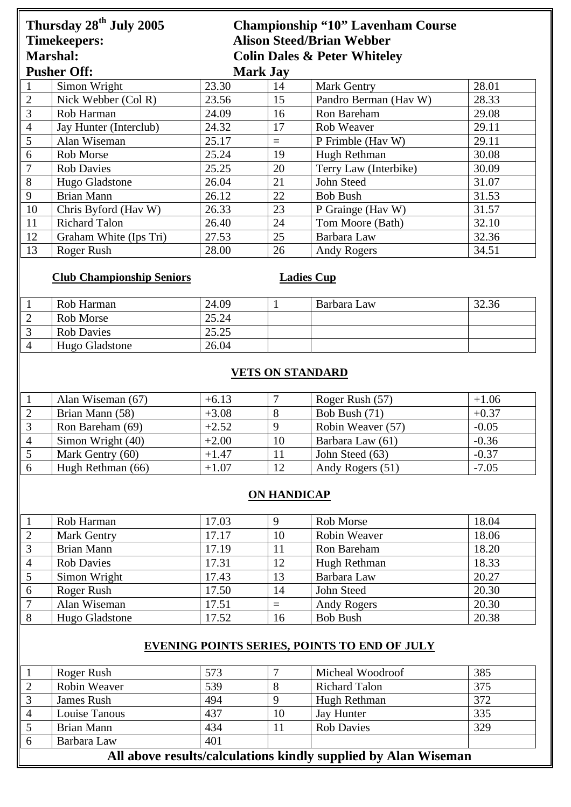| Thursday 28 <sup>th</sup> July 2005 |                                  |         | <b>Championship "10" Lavenham Course</b> |                                                                |         |  |
|-------------------------------------|----------------------------------|---------|------------------------------------------|----------------------------------------------------------------|---------|--|
|                                     | <b>Timekeepers:</b>              |         |                                          | <b>Alison Steed/Brian Webber</b>                               |         |  |
| <b>Marshal:</b>                     |                                  |         | <b>Colin Dales &amp; Peter Whiteley</b>  |                                                                |         |  |
|                                     | <b>Pusher Off:</b>               |         | <b>Mark Jay</b>                          |                                                                |         |  |
| $\mathbf{1}$                        | Simon Wright                     | 23.30   | 14                                       | <b>Mark Gentry</b>                                             | 28.01   |  |
| $\overline{c}$                      | Nick Webber (Col R)              | 23.56   | 15                                       | Pandro Berman (Hav W)                                          | 28.33   |  |
| $\overline{3}$                      | Rob Harman                       | 24.09   | 16                                       | Ron Bareham                                                    | 29.08   |  |
| $\overline{4}$                      | Jay Hunter (Interclub)           | 24.32   | 17                                       | Rob Weaver                                                     | 29.11   |  |
| $\overline{5}$                      | Alan Wiseman                     | 25.17   | $\equiv$                                 | P Frimble (Hav W)                                              | 29.11   |  |
| 6                                   | Rob Morse                        | 25.24   | 19                                       | Hugh Rethman                                                   | 30.08   |  |
| $\overline{7}$                      | <b>Rob Davies</b>                | 25.25   | 20                                       | Terry Law (Interbike)                                          | 30.09   |  |
| $8\,$                               | Hugo Gladstone                   | 26.04   | 21                                       | John Steed                                                     | 31.07   |  |
| 9                                   | <b>Brian Mann</b>                | 26.12   | 22                                       | <b>Bob Bush</b>                                                | 31.53   |  |
| 10                                  | Chris Byford (Hav W)             | 26.33   | 23                                       | P Grainge (Hav W)                                              | 31.57   |  |
| 11                                  | <b>Richard Talon</b>             | 26.40   | 24                                       | Tom Moore (Bath)                                               | 32.10   |  |
| 12                                  | Graham White (Ips Tri)           | 27.53   | 25                                       | Barbara Law                                                    | 32.36   |  |
| 13                                  | Roger Rush                       | 28.00   | 26                                       | <b>Andy Rogers</b>                                             | 34.51   |  |
|                                     |                                  |         |                                          |                                                                |         |  |
|                                     | <b>Club Championship Seniors</b> |         |                                          | <b>Ladies Cup</b>                                              |         |  |
|                                     |                                  |         |                                          |                                                                |         |  |
| $\mathbf{1}$                        | Rob Harman                       | 24.09   | $\mathbf{1}$                             | Barbara Law                                                    | 32.36   |  |
| $\sqrt{2}$                          | Rob Morse                        | 25.24   |                                          |                                                                |         |  |
| $\overline{3}$                      | <b>Rob Davies</b>                | 25.25   |                                          |                                                                |         |  |
| $\overline{4}$                      | Hugo Gladstone                   | 26.04   |                                          |                                                                |         |  |
|                                     |                                  |         |                                          |                                                                |         |  |
|                                     |                                  |         |                                          | <b>VETS ON STANDARD</b>                                        |         |  |
|                                     |                                  |         |                                          |                                                                |         |  |
| $\mathbf{1}$                        | Alan Wiseman (67)                | $+6.13$ | $\overline{7}$                           | Roger Rush (57)                                                | $+1.06$ |  |
| $\sqrt{2}$                          | Brian Mann (58)                  | $+3.08$ | 8                                        | Bob Bush (71)                                                  | $+0.37$ |  |
| $\overline{3}$                      | Ron Bareham (69)                 | $+2.52$ | 9                                        | Robin Weaver (57)                                              | $-0.05$ |  |
| $\overline{4}$                      | Simon Wright (40)                | $+2.00$ | 10                                       | Barbara Law (61)                                               | $-0.36$ |  |
| $\overline{5}$                      | Mark Gentry (60)                 | $+1.47$ | 11                                       | John Steed (63)                                                | $-0.37$ |  |
| 6                                   | Hugh Rethman (66)                | $+1.07$ | 12                                       | Andy Rogers (51)                                               | $-7.05$ |  |
|                                     |                                  |         |                                          |                                                                |         |  |
|                                     |                                  |         | <b>ON HANDICAP</b>                       |                                                                |         |  |
|                                     |                                  |         |                                          |                                                                |         |  |
| $\mathbf{1}$                        | Rob Harman                       | 17.03   | 9                                        | Rob Morse                                                      | 18.04   |  |
| $\sqrt{2}$                          | <b>Mark Gentry</b>               | 17.17   | 10                                       | Robin Weaver                                                   | 18.06   |  |
| $\overline{3}$                      | <b>Brian Mann</b>                | 17.19   | 11                                       | Ron Bareham                                                    | 18.20   |  |
| $\overline{4}$                      | <b>Rob Davies</b>                | 17.31   | 12                                       | Hugh Rethman                                                   | 18.33   |  |
| 5                                   | Simon Wright                     | 17.43   | 13                                       | Barbara Law                                                    | 20.27   |  |
| 6                                   | Roger Rush                       | 17.50   | 14                                       | John Steed                                                     | 20.30   |  |
| $\overline{7}$                      | Alan Wiseman                     | 17.51   | $\equiv$                                 | <b>Andy Rogers</b>                                             | 20.30   |  |
| 8                                   | Hugo Gladstone                   | 17.52   | 16                                       | <b>Bob Bush</b>                                                | 20.38   |  |
|                                     |                                  |         |                                          |                                                                |         |  |
|                                     |                                  |         |                                          | <b>EVENING POINTS SERIES, POINTS TO END OF JULY</b>            |         |  |
|                                     |                                  |         |                                          |                                                                |         |  |
| $\mathbf{1}$                        | Roger Rush                       | 573     | 7                                        | Micheal Woodroof                                               | 385     |  |
| $\sqrt{2}$                          | Robin Weaver                     | 539     | 8                                        | <b>Richard Talon</b>                                           | 375     |  |
| $\overline{\mathbf{3}}$             | <b>James Rush</b>                | 494     | 9                                        | Hugh Rethman                                                   | 372     |  |
| $\overline{4}$                      | Louise Tanous                    | 437     | 10                                       | Jay Hunter                                                     | 335     |  |
| 5                                   | <b>Brian Mann</b>                | 434     | 11                                       | <b>Rob Davies</b>                                              | 329     |  |
| 6                                   | Barbara Law                      | 401     |                                          |                                                                |         |  |
|                                     |                                  |         |                                          | All above results/calculations kindly supplied by Alan Wiseman |         |  |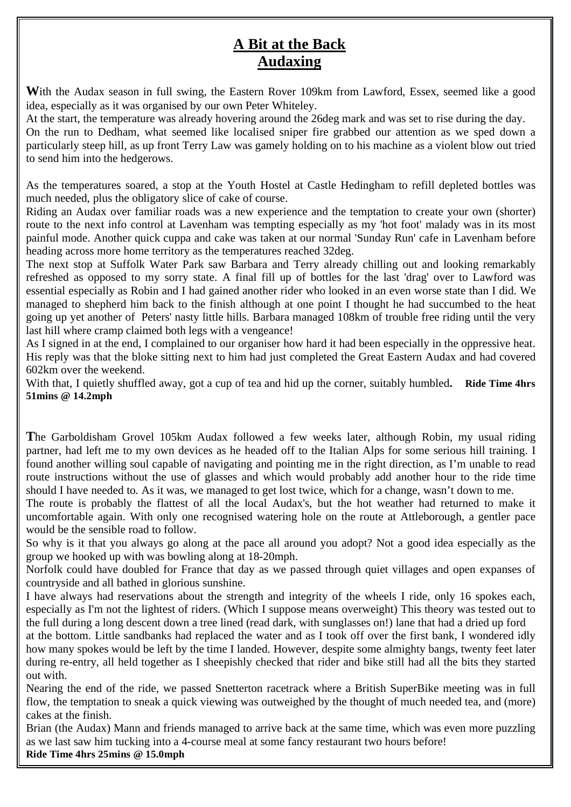# **A Bit at the Back Audaxing**

With the Audax season in full swing, the Eastern Rover 109km from Lawford, Essex, seemed like a good idea, especially as it was organised by our own Peter Whiteley.

At the start, the temperature was already hovering around the 26deg mark and was set to rise during the day. On the run to Dedham, what seemed like localised sniper fire grabbed our attention as we sped down a particularly steep hill, as up front Terry Law was gamely holding on to his machine as a violent blow out tried to send him into the hedgerows.

As the temperatures soared, a stop at the Youth Hostel at Castle Hedingham to refill depleted bottles was much needed, plus the obligatory slice of cake of course.

Riding an Audax over familiar roads was a new experience and the temptation to create your own (shorter) route to the next info control at Lavenham was tempting especially as my 'hot foot' malady was in its most painful mode. Another quick cuppa and cake was taken at our normal 'Sunday Run' cafe in Lavenham before heading across more home territory as the temperatures reached 32deg.

The next stop at Suffolk Water Park saw Barbara and Terry already chilling out and looking remarkably refreshed as opposed to my sorry state. A final fill up of bottles for the last 'drag' over to Lawford was essential especially as Robin and I had gained another rider who looked in an even worse state than I did. We managed to shepherd him back to the finish although at one point I thought he had succumbed to the heat going up yet another of Peters' nasty little hills. Barbara managed 108km of trouble free riding until the very last hill where cramp claimed both legs with a vengeance!

As I signed in at the end, I complained to our organiser how hard it had been especially in the oppressive heat. His reply was that the bloke sitting next to him had just completed the Great Eastern Audax and had covered 602km over the weekend.

With that, I quietly shuffled away, got a cup of tea and hid up the corner, suitably humbled. **Ride Time 4hrs 51mins @ 14.2mph** 

**T**he Garboldisham Grovel 105km Audax followed a few weeks later, although Robin, my usual riding partner, had left me to my own devices as he headed off to the Italian Alps for some serious hill training. I found another willing soul capable of navigating and pointing me in the right direction, as I'm unable to read route instructions without the use of glasses and which would probably add another hour to the ride time should I have needed to. As it was, we managed to get lost twice, which for a change, wasn't down to me.

The route is probably the flattest of all the local Audax's, but the hot weather had returned to make it uncomfortable again. With only one recognised watering hole on the route at Attleborough, a gentler pace would be the sensible road to follow.

So why is it that you always go along at the pace all around you adopt? Not a good idea especially as the group we hooked up with was bowling along at 18-20mph.

Norfolk could have doubled for France that day as we passed through quiet villages and open expanses of countryside and all bathed in glorious sunshine.

I have always had reservations about the strength and integrity of the wheels I ride, only 16 spokes each, especially as I'm not the lightest of riders. (Which I suppose means overweight) This theory was tested out to the full during a long descent down a tree lined (read dark, with sunglasses on!) lane that had a dried up ford at the bottom. Little sandbanks had replaced the water and as I took off over the first bank, I wondered idly

how many spokes would be left by the time I landed. However, despite some almighty bangs, twenty feet later during re-entry, all held together as I sheepishly checked that rider and bike still had all the bits they started out with.

Nearing the end of the ride, we passed Snetterton racetrack where a British SuperBike meeting was in full flow, the temptation to sneak a quick viewing was outweighed by the thought of much needed tea, and (more) cakes at the finish.

Brian (the Audax) Mann and friends managed to arrive back at the same time, which was even more puzzling as we last saw him tucking into a 4-course meal at some fancy restaurant two hours before! **Ride Time 4hrs 25mins @ 15.0mph**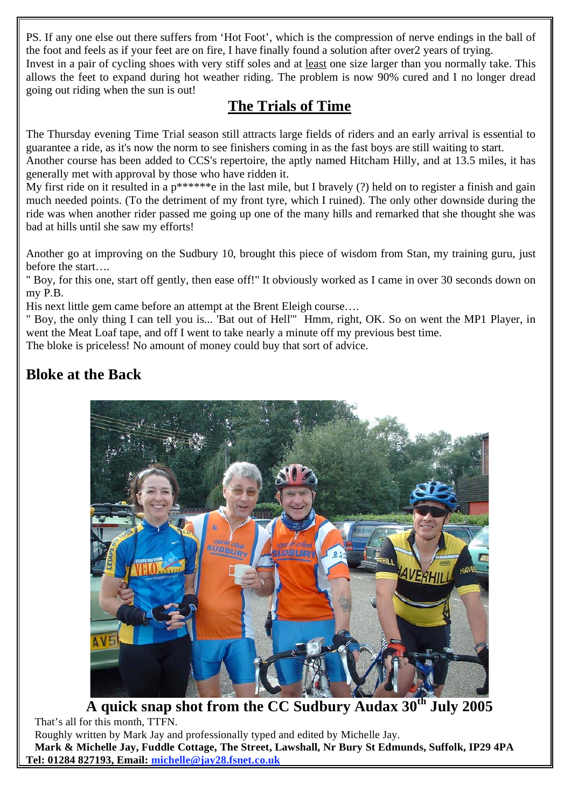PS. If any one else out there suffers from 'Hot Foot', which is the compression of nerve endings in the ball of the foot and feels as if your feet are on fire, I have finally found a solution after over2 years of trying. Invest in a pair of cycling shoes with very stiff soles and at least one size larger than you normally take. This allows the feet to expand during hot weather riding. The problem is now 90% cured and I no longer dread going out riding when the sun is out!

# **The Trials of Time**

The Thursday evening Time Trial season still attracts large fields of riders and an early arrival is essential to guarantee a ride, as it's now the norm to see finishers coming in as the fast boys are still waiting to start. Another course has been added to CCS's repertoire, the aptly named Hitcham Hilly, and at 13.5 miles, it has generally met with approval by those who have ridden it.

My first ride on it resulted in a  $p^{****}e$  in the last mile, but I bravely (?) held on to register a finish and gain much needed points. (To the detriment of my front tyre, which I ruined). The only other downside during the ride was when another rider passed me going up one of the many hills and remarked that she thought she was bad at hills until she saw my efforts!

Another go at improving on the Sudbury 10, brought this piece of wisdom from Stan, my training guru, just before the start….

" Boy, for this one, start off gently, then ease off!" It obviously worked as I came in over 30 seconds down on my P.B.

His next little gem came before an attempt at the Brent Eleigh course….

" Boy, the only thing I can tell you is... 'Bat out of Hell'" Hmm, right, OK. So on went the MP1 Player, in went the Meat Loaf tape, and off I went to take nearly a minute off my previous best time.

The bloke is priceless! No amount of money could buy that sort of advice.

# **Bloke at the Back**



**A quick snap shot from the CC Sudbury Audax 30th July 2005**  That's all for this month, TTFN. Roughly written by Mark Jay and professionally typed and edited by Michelle Jay.

**Mark & Michelle Jay, Fuddle Cottage, The Street, Lawshall, Nr Bury St Edmunds, Suffolk, IP29 4PA Tel: 01284 827193, Email: michelle@jay28.fsnet.co.uk**